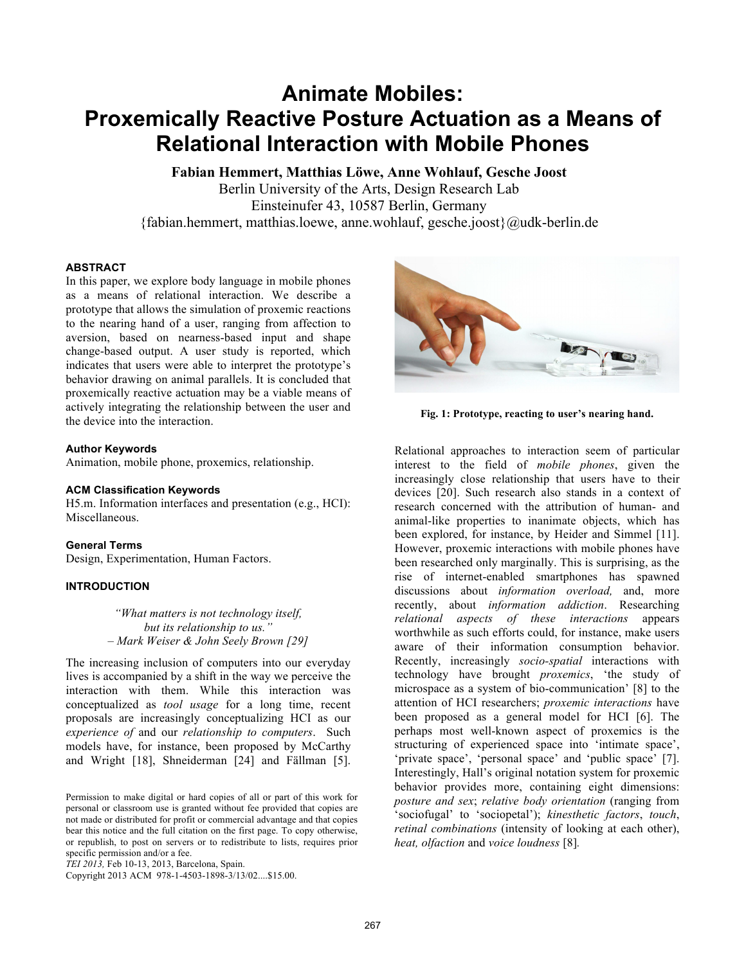# **Animate Mobiles: Proxemically Reactive Posture Actuation as a Means of Relational Interaction with Mobile Phones**

**Fabian Hemmert, Matthias Löwe, Anne Wohlauf, Gesche Joost** 

Berlin University of the Arts, Design Research Lab Einsteinufer 43, 10587 Berlin, Germany {fabian.hemmert, matthias.loewe, anne.wohlauf, gesche.joost}@udk-berlin.de

## **ABSTRACT**

In this paper, we explore body language in mobile phones as a means of relational interaction. We describe a prototype that allows the simulation of proxemic reactions to the nearing hand of a user, ranging from affection to aversion, based on nearness-based input and shape change-based output. A user study is reported, which indicates that users were able to interpret the prototype's behavior drawing on animal parallels. It is concluded that proxemically reactive actuation may be a viable means of actively integrating the relationship between the user and the device into the interaction.

#### **Author Keywords**

Animation, mobile phone, proxemics, relationship.

#### **ACM Classification Keywords**

H5.m. Information interfaces and presentation (e.g., HCI): Miscellaneous.

## **General Terms**

Design, Experimentation, Human Factors.

# **INTRODUCTION**

*"What matters is not technology itself, but its relationship to us." – Mark Weiser & John Seely Brown [29]* 

The increasing inclusion of computers into our everyday lives is accompanied by a shift in the way we perceive the interaction with them. While this interaction was conceptualized as *tool usage* for a long time, recent proposals are increasingly conceptualizing HCI as our *experience of* and our *relationship to computers*. Such models have, for instance, been proposed by McCarthy and Wright [18], Shneiderman [24] and Fällman [5].

Copyright 2013 ACM 978-1-4503-1898-3/13/02....\$15.00.



**Fig. 1: Prototype, reacting to user's nearing hand.**

Relational approaches to interaction seem of particular interest to the field of *mobile phones*, given the increasingly close relationship that users have to their devices [20]. Such research also stands in a context of research concerned with the attribution of human- and animal-like properties to inanimate objects, which has been explored, for instance, by Heider and Simmel [11]. However, proxemic interactions with mobile phones have been researched only marginally. This is surprising, as the rise of internet-enabled smartphones has spawned discussions about *information overload,* and, more recently, about *information addiction*. Researching *relational aspects of these interactions* appears worthwhile as such efforts could, for instance, make users aware of their information consumption behavior. Recently, increasingly *socio-spatial* interactions with technology have brought *proxemics*, 'the study of microspace as a system of bio-communication' [8] to the attention of HCI researchers; *proxemic interactions* have been proposed as a general model for HCI [6]. The perhaps most well-known aspect of proxemics is the structuring of experienced space into 'intimate space', 'private space', 'personal space' and 'public space' [7]. Interestingly, Hall's original notation system for proxemic behavior provides more, containing eight dimensions: *posture and sex*; *relative body orientation* (ranging from 'sociofugal' to 'sociopetal'); *kinesthetic factors*, *touch*, *retinal combinations* (intensity of looking at each other), *heat, olfaction* and *voice loudness* [8]*.*

Permission to make digital or hard copies of all or part of this work for personal or classroom use is granted without fee provided that copies are not made or distributed for profit or commercial advantage and that copies bear this notice and the full citation on the first page. To copy otherwise, or republish, to post on servers or to redistribute to lists, requires prior specific permission and/or a fee.

*TEI 2013,* Feb 10-13, 2013, Barcelona, Spain.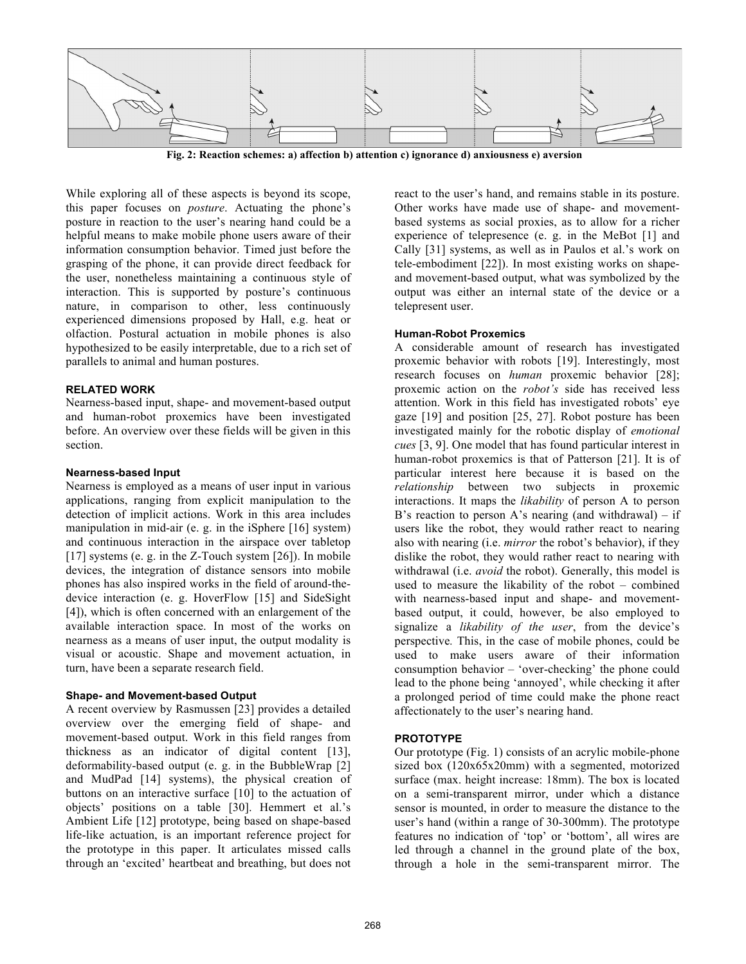

**Fig. 2: Reaction schemes: a) affection b) attention c) ignorance d) anxiousness e) aversion** 

While exploring all of these aspects is beyond its scope, this paper focuses on *posture*. Actuating the phone's posture in reaction to the user's nearing hand could be a helpful means to make mobile phone users aware of their information consumption behavior. Timed just before the grasping of the phone, it can provide direct feedback for the user, nonetheless maintaining a continuous style of interaction. This is supported by posture's continuous nature, in comparison to other, less continuously experienced dimensions proposed by Hall, e.g. heat or olfaction. Postural actuation in mobile phones is also hypothesized to be easily interpretable, due to a rich set of parallels to animal and human postures.

## **RELATED WORK**

Nearness-based input, shape- and movement-based output and human-robot proxemics have been investigated before. An overview over these fields will be given in this section.

#### **Nearness-based Input**

Nearness is employed as a means of user input in various applications, ranging from explicit manipulation to the detection of implicit actions. Work in this area includes manipulation in mid-air (e. g. in the iSphere [16] system) and continuous interaction in the airspace over tabletop [17] systems (e. g. in the Z-Touch system [26]). In mobile devices, the integration of distance sensors into mobile phones has also inspired works in the field of around-thedevice interaction (e. g. HoverFlow [15] and SideSight [4]), which is often concerned with an enlargement of the available interaction space. In most of the works on nearness as a means of user input, the output modality is visual or acoustic. Shape and movement actuation, in turn, have been a separate research field.

## **Shape- and Movement-based Output**

A recent overview by Rasmussen [23] provides a detailed overview over the emerging field of shape- and movement-based output. Work in this field ranges from thickness as an indicator of digital content [13], deformability-based output (e. g. in the BubbleWrap [2] and MudPad [14] systems), the physical creation of buttons on an interactive surface [10] to the actuation of objects' positions on a table [30]. Hemmert et al.'s Ambient Life [12] prototype, being based on shape-based life-like actuation, is an important reference project for the prototype in this paper. It articulates missed calls through an 'excited' heartbeat and breathing, but does not

react to the user's hand, and remains stable in its posture. Other works have made use of shape- and movementbased systems as social proxies, as to allow for a richer experience of telepresence (e. g. in the MeBot [1] and Cally [31] systems, as well as in Paulos et al.'s work on tele-embodiment [22]). In most existing works on shapeand movement-based output, what was symbolized by the output was either an internal state of the device or a telepresent user.

## **Human-Robot Proxemics**

A considerable amount of research has investigated proxemic behavior with robots [19]. Interestingly, most research focuses on *human* proxemic behavior [28]; proxemic action on the *robot's* side has received less attention. Work in this field has investigated robots' eye gaze [19] and position [25, 27]. Robot posture has been investigated mainly for the robotic display of *emotional cues* [3, 9]. One model that has found particular interest in human-robot proxemics is that of Patterson [21]. It is of particular interest here because it is based on the *relationship* between two subjects in proxemic interactions. It maps the *likability* of person A to person B's reaction to person A's nearing (and withdrawal) – if users like the robot, they would rather react to nearing also with nearing (i.e. *mirror* the robot's behavior), if they dislike the robot, they would rather react to nearing with withdrawal (i.e. *avoid* the robot). Generally, this model is used to measure the likability of the robot – combined with nearness-based input and shape- and movementbased output, it could, however, be also employed to signalize a *likability of the user*, from the device's perspective*.* This, in the case of mobile phones, could be used to make users aware of their information consumption behavior – 'over-checking' the phone could lead to the phone being 'annoyed', while checking it after a prolonged period of time could make the phone react affectionately to the user's nearing hand.

## **PROTOTYPE**

Our prototype (Fig. 1) consists of an acrylic mobile-phone sized box (120x65x20mm) with a segmented, motorized surface (max. height increase: 18mm). The box is located on a semi-transparent mirror, under which a distance sensor is mounted, in order to measure the distance to the user's hand (within a range of 30-300mm). The prototype features no indication of 'top' or 'bottom', all wires are led through a channel in the ground plate of the box, through a hole in the semi-transparent mirror. The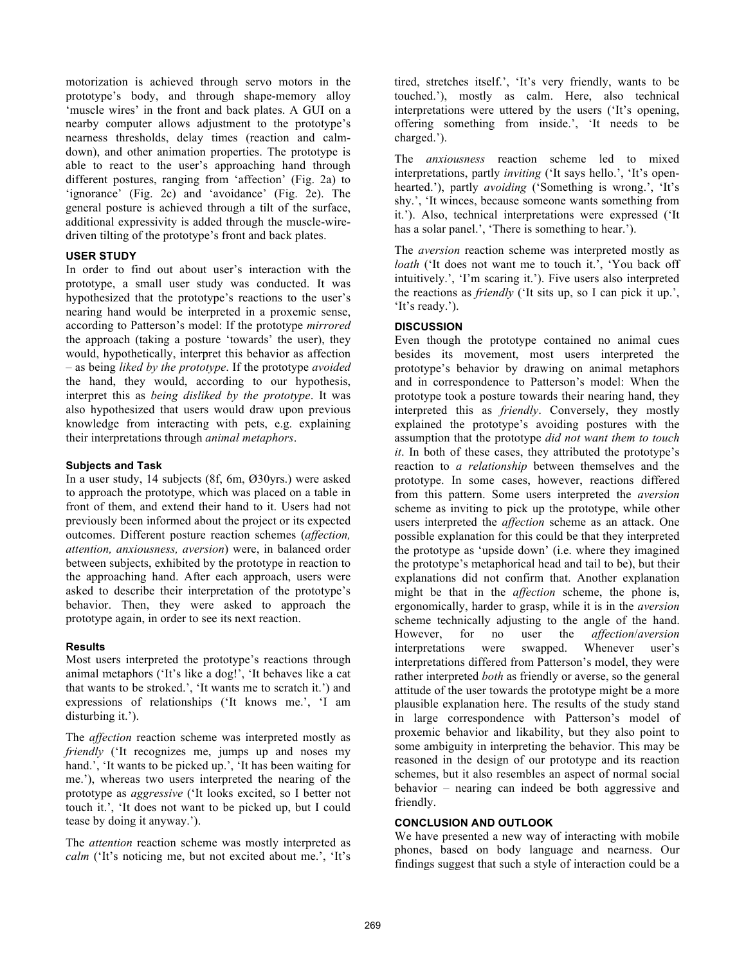motorization is achieved through servo motors in the prototype's body, and through shape-memory alloy 'muscle wires' in the front and back plates. A GUI on a nearby computer allows adjustment to the prototype's nearness thresholds, delay times (reaction and calmdown), and other animation properties. The prototype is able to react to the user's approaching hand through different postures, ranging from 'affection' (Fig. 2a) to 'ignorance' (Fig. 2c) and 'avoidance' (Fig. 2e). The general posture is achieved through a tilt of the surface, additional expressivity is added through the muscle-wiredriven tilting of the prototype's front and back plates.

#### **USER STUDY**

In order to find out about user's interaction with the prototype, a small user study was conducted. It was hypothesized that the prototype's reactions to the user's nearing hand would be interpreted in a proxemic sense, according to Patterson's model: If the prototype *mirrored*  the approach (taking a posture 'towards' the user), they would, hypothetically, interpret this behavior as affection – as being *liked by the prototype*. If the prototype *avoided*  the hand, they would, according to our hypothesis, interpret this as *being disliked by the prototype*. It was also hypothesized that users would draw upon previous knowledge from interacting with pets, e.g. explaining their interpretations through *animal metaphors*.

#### **Subjects and Task**

In a user study, 14 subjects (8f, 6m, Ø30yrs.) were asked to approach the prototype, which was placed on a table in front of them, and extend their hand to it. Users had not previously been informed about the project or its expected outcomes. Different posture reaction schemes (*affection, attention, anxiousness, aversion*) were, in balanced order between subjects, exhibited by the prototype in reaction to the approaching hand. After each approach, users were asked to describe their interpretation of the prototype's behavior. Then, they were asked to approach the prototype again, in order to see its next reaction.

#### **Results**

Most users interpreted the prototype's reactions through animal metaphors ('It's like a dog!', 'It behaves like a cat that wants to be stroked.', 'It wants me to scratch it.') and expressions of relationships ('It knows me.', 'I am disturbing it.').

The *affection* reaction scheme was interpreted mostly as *friendly* ('It recognizes me, jumps up and noses my hand.', 'It wants to be picked up.', 'It has been waiting for me.'), whereas two users interpreted the nearing of the prototype as *aggressive* ('It looks excited, so I better not touch it.', 'It does not want to be picked up, but I could tease by doing it anyway.').

The *attention* reaction scheme was mostly interpreted as *calm* ('It's noticing me, but not excited about me.', 'It's

tired, stretches itself.', 'It's very friendly, wants to be touched.'), mostly as calm. Here, also technical interpretations were uttered by the users ('It's opening, offering something from inside.', 'It needs to be charged.').

The *anxiousness* reaction scheme led to mixed interpretations, partly *inviting* ('It says hello.', 'It's openhearted.'), partly *avoiding* ('Something is wrong.', 'It's shy.', 'It winces, because someone wants something from it.'). Also, technical interpretations were expressed ('It has a solar panel.', 'There is something to hear.').

The *aversion* reaction scheme was interpreted mostly as *loath* ('It does not want me to touch it.', 'You back off intuitively.', 'I'm scaring it.'). Five users also interpreted the reactions as *friendly* ('It sits up, so I can pick it up.', 'It's ready.').

## **DISCUSSION**

Even though the prototype contained no animal cues besides its movement, most users interpreted the prototype's behavior by drawing on animal metaphors and in correspondence to Patterson's model: When the prototype took a posture towards their nearing hand, they interpreted this as *friendly*. Conversely, they mostly explained the prototype's avoiding postures with the assumption that the prototype *did not want them to touch it*. In both of these cases, they attributed the prototype's reaction to *a relationship* between themselves and the prototype. In some cases, however, reactions differed from this pattern. Some users interpreted the *aversion* scheme as inviting to pick up the prototype, while other users interpreted the *affection* scheme as an attack. One possible explanation for this could be that they interpreted the prototype as 'upside down' (i.e. where they imagined the prototype's metaphorical head and tail to be), but their explanations did not confirm that. Another explanation might be that in the *affection* scheme, the phone is, ergonomically, harder to grasp, while it is in the *aversion*  scheme technically adjusting to the angle of the hand. However, for no user the *affection*/*aversion* interpretations were swapped. Whenever user's interpretations differed from Patterson's model, they were rather interpreted *both* as friendly or averse, so the general attitude of the user towards the prototype might be a more plausible explanation here. The results of the study stand in large correspondence with Patterson's model of proxemic behavior and likability, but they also point to some ambiguity in interpreting the behavior. This may be reasoned in the design of our prototype and its reaction schemes, but it also resembles an aspect of normal social behavior – nearing can indeed be both aggressive and friendly.

## **CONCLUSION AND OUTLOOK**

We have presented a new way of interacting with mobile phones, based on body language and nearness. Our findings suggest that such a style of interaction could be a